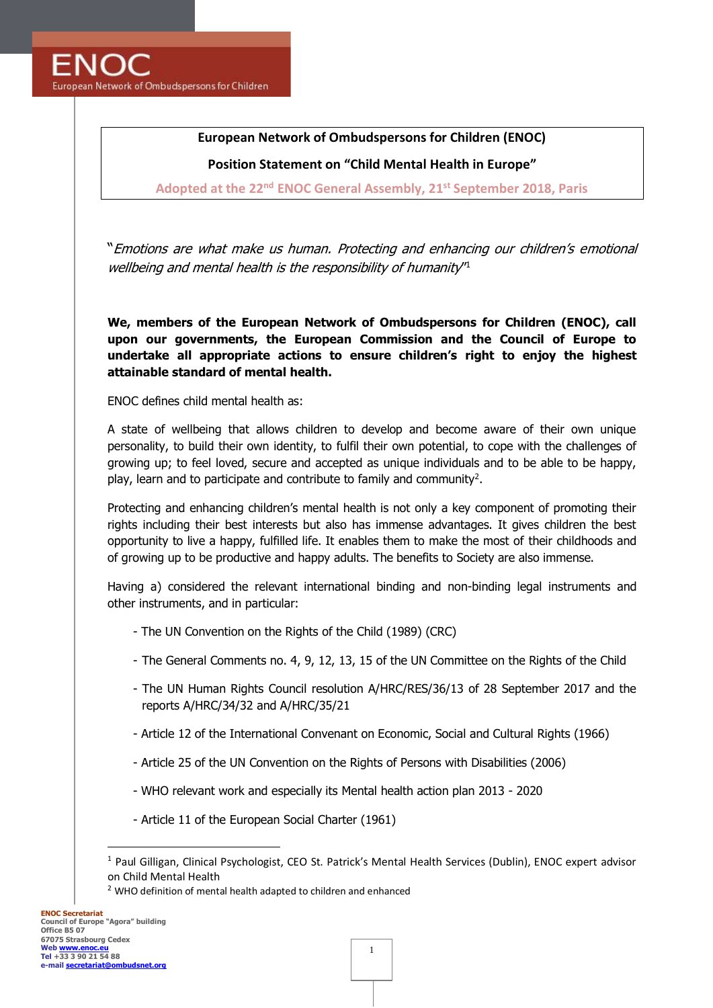**ENOC** European Network of Ombudspersons for Children

# **European Network of Ombudspersons for Children (ENOC)**

**Position Statement on "Child Mental Health in Europe"**

**Adopted at the 22nd ENOC General Assembly, 21 st September 2018, Paris**

"Emotions are what make us human. Protecting and enhancing our children's emotional wellbeing and mental health is the responsibility of humanity<sup>n</sup>

**We, members of the European Network of Ombudspersons for Children (ENOC), call upon our governments, the European Commission and the Council of Europe to undertake all appropriate actions to ensure children's right to enjoy the highest attainable standard of mental health.**

ENOC defines child mental health as:

A state of wellbeing that allows children to develop and become aware of their own unique personality, to build their own identity, to fulfil their own potential, to cope with the challenges of growing up; to feel loved, secure and accepted as unique individuals and to be able to be happy, play, learn and to participate and contribute to family and community<sup>2</sup>.

Protecting and enhancing children's mental health is not only a key component of promoting their rights including their best interests but also has immense advantages. It gives children the best opportunity to live a happy, fulfilled life. It enables them to make the most of their childhoods and of growing up to be productive and happy adults. The benefits to Society are also immense.

Having a) considered the relevant international binding and non-binding legal instruments and other instruments, and in particular:

- The UN Convention on the Rights of the Child (1989) (CRC)
- The General Comments no. 4, 9, 12, 13, 15 of the UN Committee on the Rights of the Child
- The UN Human Rights Council resolution A/HRC/RES/36/13 of 28 September 2017 and the reports A/HRC/34/32 and A/HRC/35/21
- Article 12 of the International Convenant on Economic, Social and Cultural Rights (1966)
- Article 25 of the UN Convention on the Rights of Persons with Disabilities (2006)
- WHO relevant work and especially its Mental health action plan 2013 2020
- Article 11 of the European Social Charter (1961)

<sup>1</sup> Paul Gilligan, Clinical Psychologist, CEO St. Patrick's Mental Health Services (Dublin), ENOC expert advisor on Child Mental Health

 $2$  WHO definition of mental health adapted to children and enhanced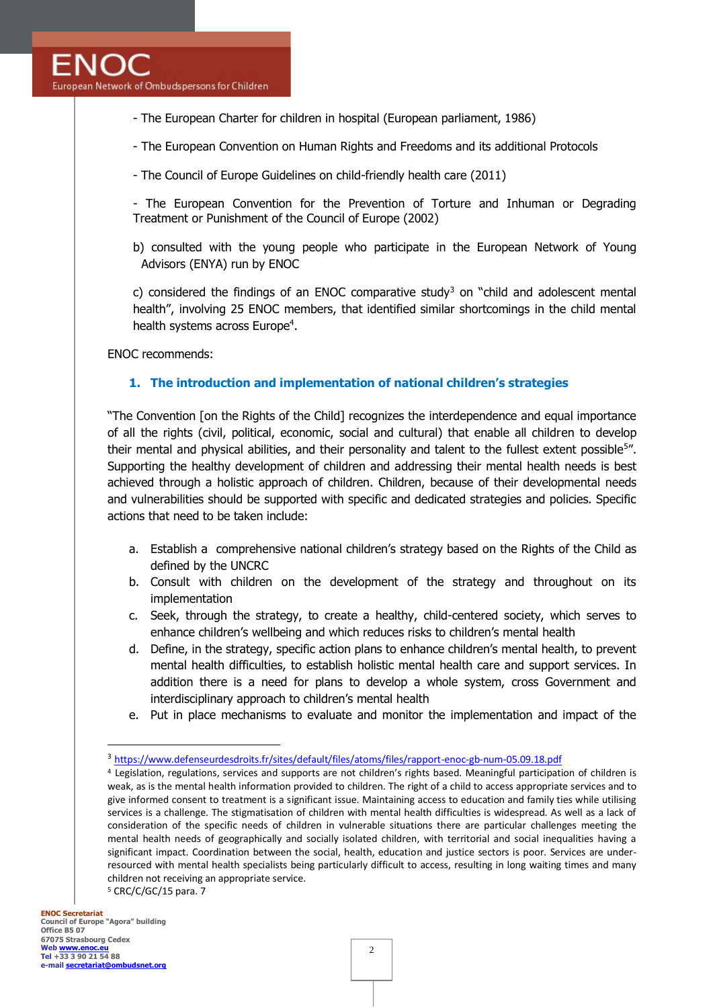- The European Charter for children in hospital (European parliament, 1986)

- The European Convention on Human Rights and Freedoms and its additional Protocols

- The Council of Europe Guidelines on child-friendly health care (2011)

- The European Convention for the Prevention of Torture and Inhuman or Degrading Treatment or Punishment of the Council of Europe (2002)

b) consulted with the young people who participate in the European Network of Young Advisors (ENYA) run by ENOC

c) considered the findings of an ENOC comparative study<sup>3</sup> on "child and adolescent mental health", involving 25 ENOC members, that identified similar shortcomings in the child mental health systems across Europe<sup>4</sup>.

ENOC recommends:

#### **1. The introduction and implementation of national children's strategies**

"The Convention [on the Rights of the Child] recognizes the interdependence and equal importance of all the rights (civil, political, economic, social and cultural) that enable all children to develop their mental and physical abilities, and their personality and talent to the fullest extent possible<sup>5</sup>". Supporting the healthy development of children and addressing their mental health needs is best achieved through a holistic approach of children. Children, because of their developmental needs and vulnerabilities should be supported with specific and dedicated strategies and policies. Specific actions that need to be taken include:

- a. Establish a comprehensive national children's strategy based on the Rights of the Child as defined by the UNCRC
- b. Consult with children on the development of the strategy and throughout on its implementation
- c. Seek, through the strategy, to create a healthy, child-centered society, which serves to enhance children's wellbeing and which reduces risks to children's mental health
- d. Define, in the strategy, specific action plans to enhance children's mental health, to prevent mental health difficulties, to establish holistic mental health care and support services. In addition there is a need for plans to develop a whole system, cross Government and interdisciplinary approach to children's mental health
- e. Put in place mechanisms to evaluate and monitor the implementation and impact of the

<sup>&</sup>lt;sup>3</sup> <https://www.defenseurdesdroits.fr/sites/default/files/atoms/files/rapport-enoc-gb-num-05.09.18.pdf>

<sup>4</sup> Legislation, regulations, services and supports are not children's rights based. Meaningful participation of children is weak, as is the mental health information provided to children. The right of a child to access appropriate services and to give informed consent to treatment is a significant issue. Maintaining access to education and family ties while utilising services is a challenge. The stigmatisation of children with mental health difficulties is widespread. As well as a lack of consideration of the specific needs of children in vulnerable situations there are particular challenges meeting the mental health needs of geographically and socially isolated children, with territorial and social inequalities having a significant impact. Coordination between the social, health, education and justice sectors is poor. Services are underresourced with mental health specialists being particularly difficult to access, resulting in long waiting times and many children not receiving an appropriate service. <sup>5</sup> CRC/C/GC/15 para. 7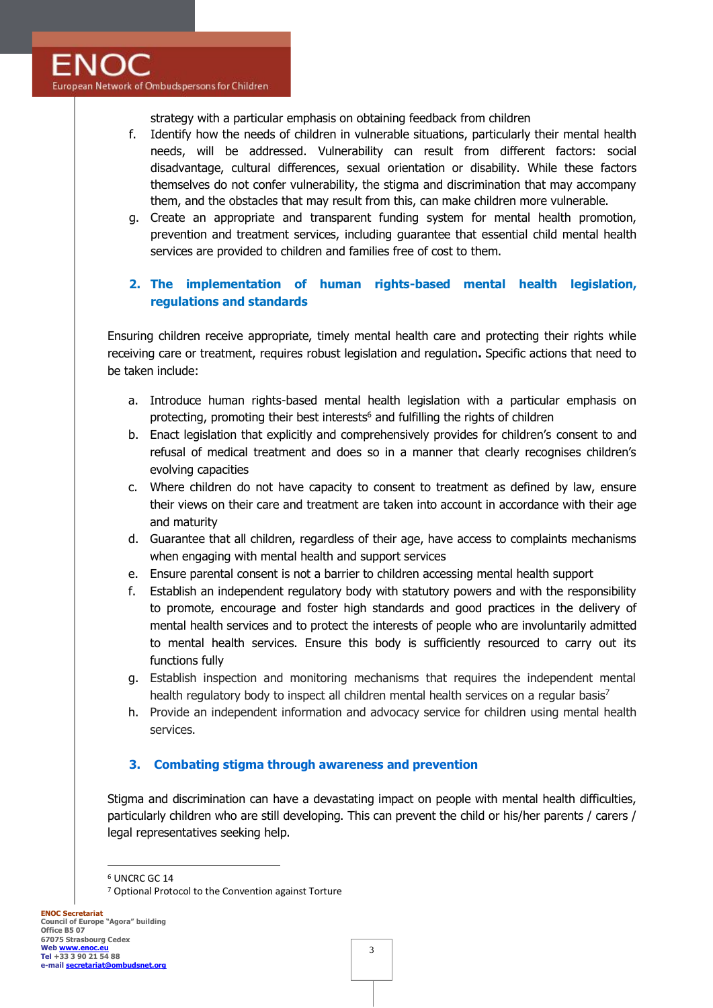strategy with a particular emphasis on obtaining feedback from children

- f. Identify how the needs of children in vulnerable situations, particularly their mental health needs, will be addressed. Vulnerability can result from different factors: social disadvantage, cultural differences, sexual orientation or disability. While these factors themselves do not confer vulnerability, the stigma and discrimination that may accompany them, and the obstacles that may result from this, can make children more vulnerable.
- g. Create an appropriate and transparent funding system for mental health promotion, prevention and treatment services, including guarantee that essential child mental health services are provided to children and families free of cost to them.

## **2. The implementation of human rights-based mental health legislation, regulations and standards**

Ensuring children receive appropriate, timely mental health care and protecting their rights while receiving care or treatment, requires robust legislation and regulation**.** Specific actions that need to be taken include:

- a. Introduce human rights-based mental health legislation with a particular emphasis on protecting, promoting their best interests<sup>6</sup> and fulfilling the rights of children
- b. Enact legislation that explicitly and comprehensively provides for children's consent to and refusal of medical treatment and does so in a manner that clearly recognises children's evolving capacities
- c. Where children do not have capacity to consent to treatment as defined by law, ensure their views on their care and treatment are taken into account in accordance with their age and maturity
- d. Guarantee that all children, regardless of their age, have access to complaints mechanisms when engaging with mental health and support services
- e. Ensure parental consent is not a barrier to children accessing mental health support
- f. Establish an independent regulatory body with statutory powers and with the responsibility to promote, encourage and foster high standards and good practices in the delivery of mental health services and to protect the interests of people who are involuntarily admitted to mental health services. Ensure this body is sufficiently resourced to carry out its functions fully
- g. Establish inspection and monitoring mechanisms that requires the independent mental health regulatory body to inspect all children mental health services on a regular basis<sup>7</sup>
- h. Provide an independent information and advocacy service for children using mental health services.

#### **3. Combating stigma through awareness and prevention**

Stigma and discrimination can have a devastating impact on people with mental health difficulties, particularly children who are still developing. This can prevent the child or his/her parents / carers / legal representatives seeking help.

<sup>6</sup> UNCRC GC 14

<sup>7</sup> Optional Protocol to the Convention against Torture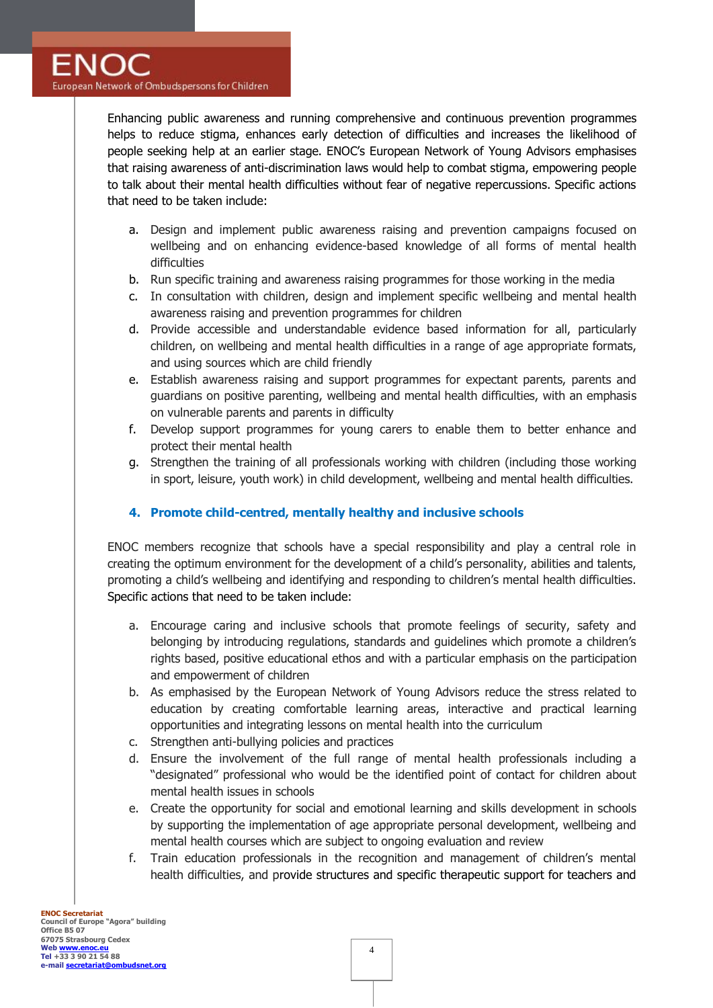Enhancing public awareness and running comprehensive and continuous prevention programmes helps to reduce stigma, enhances early detection of difficulties and increases the likelihood of people seeking help at an earlier stage. ENOC's European Network of Young Advisors emphasises that raising awareness of anti-discrimination laws would help to combat stigma, empowering people to talk about their mental health difficulties without fear of negative repercussions. Specific actions that need to be taken include:

- a. Design and implement public awareness raising and prevention campaigns focused on wellbeing and on enhancing evidence-based knowledge of all forms of mental health difficulties
- b. Run specific training and awareness raising programmes for those working in the media
- c. In consultation with children, design and implement specific wellbeing and mental health awareness raising and prevention programmes for children
- d. Provide accessible and understandable evidence based information for all, particularly children, on wellbeing and mental health difficulties in a range of age appropriate formats, and using sources which are child friendly
- e. Establish awareness raising and support programmes for expectant parents, parents and guardians on positive parenting, wellbeing and mental health difficulties, with an emphasis on vulnerable parents and parents in difficulty
- f. Develop support programmes for young carers to enable them to better enhance and protect their mental health
- g. Strengthen the training of all professionals working with children (including those working in sport, leisure, youth work) in child development, wellbeing and mental health difficulties.

## **4. Promote child-centred, mentally healthy and inclusive schools**

ENOC members recognize that schools have a special responsibility and play a central role in creating the optimum environment for the development of a child's personality, abilities and talents, promoting a child's wellbeing and identifying and responding to children's mental health difficulties. Specific actions that need to be taken include:

- a. Encourage caring and inclusive schools that promote feelings of security, safety and belonging by introducing regulations, standards and guidelines which promote a children's rights based, positive educational ethos and with a particular emphasis on the participation and empowerment of children
- b. As emphasised by the European Network of Young Advisors reduce the stress related to education by creating comfortable learning areas, interactive and practical learning opportunities and integrating lessons on mental health into the curriculum
- c. Strengthen anti-bullying policies and practices
- d. Ensure the involvement of the full range of mental health professionals including a "designated" professional who would be the identified point of contact for children about mental health issues in schools
- e. Create the opportunity for social and emotional learning and skills development in schools by supporting the implementation of age appropriate personal development, wellbeing and mental health courses which are subject to ongoing evaluation and review
- f. Train education professionals in the recognition and management of children's mental health difficulties, and provide structures and specific therapeutic support for teachers and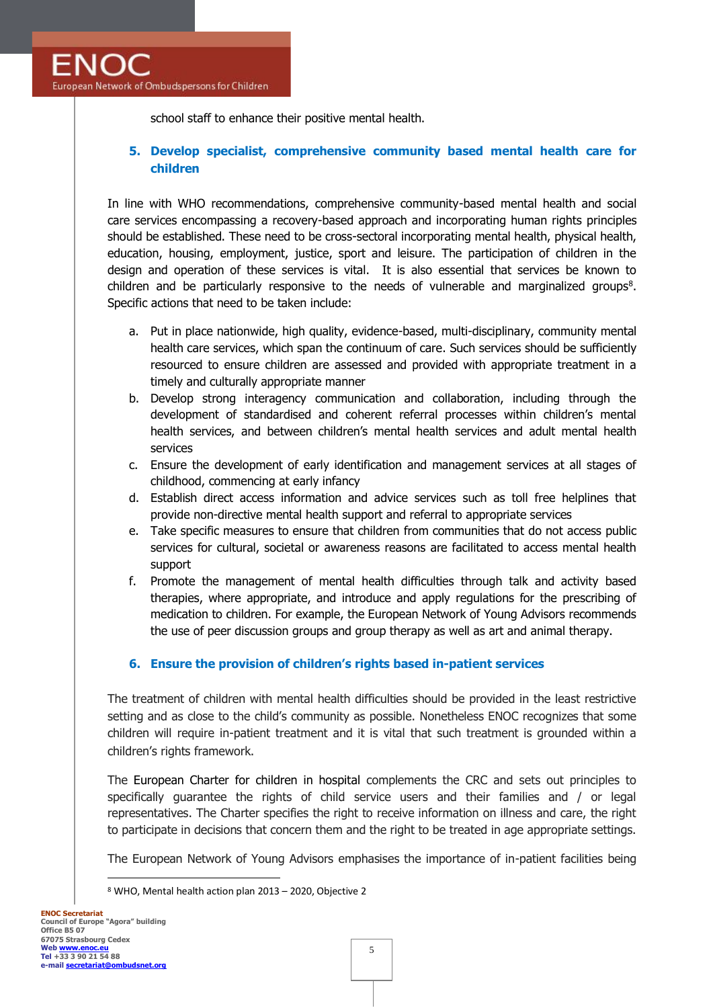school staff to enhance their positive mental health.

## **5. Develop specialist, comprehensive community based mental health care for children**

In line with WHO recommendations, comprehensive community-based mental health and social care services encompassing a recovery-based approach and incorporating human rights principles should be established. These need to be cross-sectoral incorporating mental health, physical health, education, housing, employment, justice, sport and leisure. The participation of children in the design and operation of these services is vital. It is also essential that services be known to children and be particularly responsive to the needs of vulnerable and marginalized groups<sup>8</sup>. Specific actions that need to be taken include:

- a. Put in place nationwide, high quality, evidence-based, multi-disciplinary, community mental health care services, which span the continuum of care. Such services should be sufficiently resourced to ensure children are assessed and provided with appropriate treatment in a timely and culturally appropriate manner
- b. Develop strong interagency communication and collaboration, including through the development of standardised and coherent referral processes within children's mental health services, and between children's mental health services and adult mental health services
- c. Ensure the development of early identification and management services at all stages of childhood, commencing at early infancy
- d. Establish direct access information and advice services such as toll free helplines that provide non-directive mental health support and referral to appropriate services
- e. Take specific measures to ensure that children from communities that do not access public services for cultural, societal or awareness reasons are facilitated to access mental health support
- f. Promote the management of mental health difficulties through talk and activity based therapies, where appropriate, and introduce and apply regulations for the prescribing of medication to children. For example, the European Network of Young Advisors recommends the use of peer discussion groups and group therapy as well as art and animal therapy.

#### **6. Ensure the provision of children's rights based in-patient services**

The treatment of children with mental health difficulties should be provided in the least restrictive setting and as close to the child's community as possible. Nonetheless ENOC recognizes that some children will require in-patient treatment and it is vital that such treatment is grounded within a children's rights framework.

The European Charter for children in hospital complements the CRC and sets out principles to specifically guarantee the rights of child service users and their families and / or legal representatives. The Charter specifies the right to receive information on illness and care, the right to participate in decisions that concern them and the right to be treated in age appropriate settings.

The European Network of Young Advisors emphasises the importance of in-patient facilities being

<sup>8</sup> WHO, Mental health action plan 2013 – 2020, Objective 2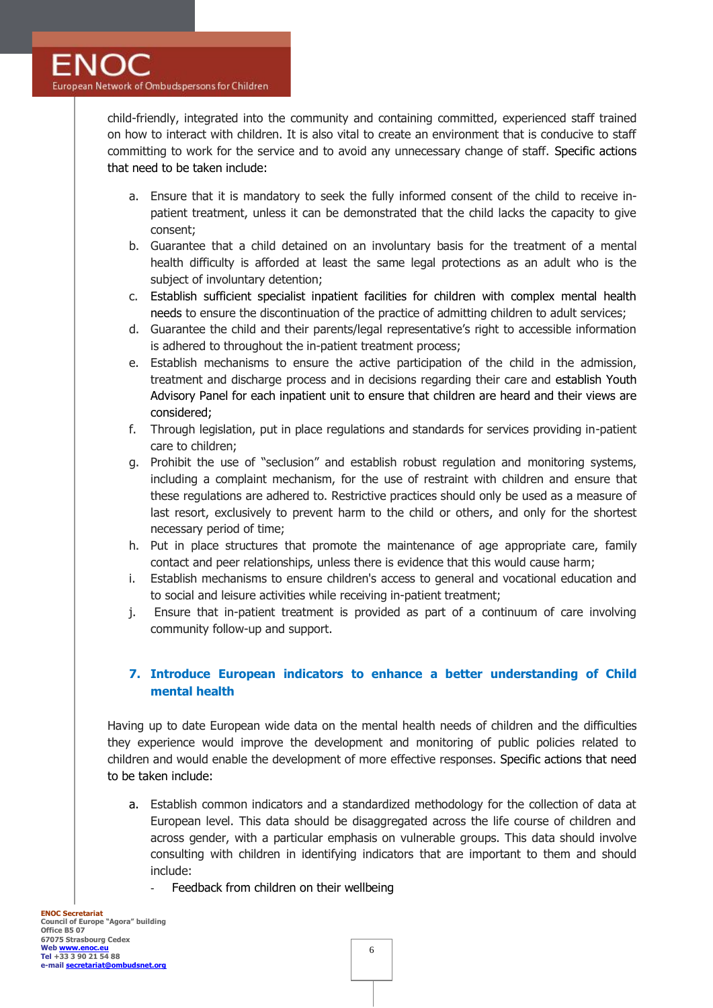child-friendly, integrated into the community and containing committed, experienced staff trained on how to interact with children. It is also vital to create an environment that is conducive to staff committing to work for the service and to avoid any unnecessary change of staff. Specific actions that need to be taken include:

- a. Ensure that it is mandatory to seek the fully informed consent of the child to receive inpatient treatment, unless it can be demonstrated that the child lacks the capacity to give consent;
- b. Guarantee that a child detained on an involuntary basis for the treatment of a mental health difficulty is afforded at least the same legal protections as an adult who is the subject of involuntary detention;
- c. Establish sufficient specialist inpatient facilities for children with complex mental health needs to ensure the discontinuation of the practice of admitting children to adult services;
- d. Guarantee the child and their parents/legal representative's right to accessible information is adhered to throughout the in-patient treatment process;
- e. Establish mechanisms to ensure the active participation of the child in the admission, treatment and discharge process and in decisions regarding their care and establish Youth Advisory Panel for each inpatient unit to ensure that children are heard and their views are considered;
- f. Through legislation, put in place regulations and standards for services providing in-patient care to children;
- g. Prohibit the use of "seclusion" and establish robust regulation and monitoring systems, including a complaint mechanism, for the use of restraint with children and ensure that these regulations are adhered to. Restrictive practices should only be used as a measure of last resort, exclusively to prevent harm to the child or others, and only for the shortest necessary period of time;
- h. Put in place structures that promote the maintenance of age appropriate care, family contact and peer relationships, unless there is evidence that this would cause harm;
- i. Establish mechanisms to ensure children's access to general and vocational education and to social and leisure activities while receiving in-patient treatment;
- j. Ensure that in-patient treatment is provided as part of a continuum of care involving community follow-up and support.

## **7. Introduce European indicators to enhance a better understanding of Child mental health**

Having up to date European wide data on the mental health needs of children and the difficulties they experience would improve the development and monitoring of public policies related to children and would enable the development of more effective responses. Specific actions that need to be taken include:

- a. Establish common indicators and a standardized methodology for the collection of data at European level. This data should be disaggregated across the life course of children and across gender, with a particular emphasis on vulnerable groups. This data should involve consulting with children in identifying indicators that are important to them and should include:
	- Feedback from children on their wellbeing